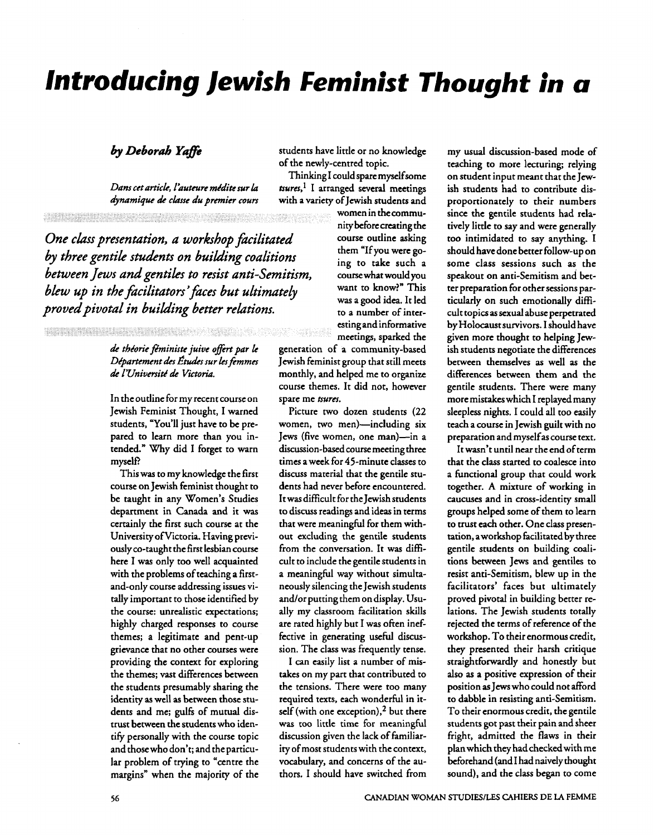# Introducing Jewish Feminist Thought in a

#### by Deborah Yaffe

Dans cet article, l'auteure médite sur la dynamique de classe du premier cours

One class presentation, a workshop facilitated by three gentile students on building coalitions between Jews and gentiles to resist anti-Semitism. blew up in the facilitators' faces but ultimately proved pivotal in building better relations.

**MARY STATE** 

#### de théorie féministe juive offert par le Département des Études sur les femmes de l'Université de Victoria.

In the outline for my recent course on Jewish Feminist Thought, I warned students, "You'll just have to be prepared to learn more than you intended." Why did I forget to warn myself?

This was to my knowledge the first course on Jewish feminist thought to be taught in any Women's Studies department in Canada and it was certainly the first such course at the University of Victoria. Having previously co-taught the first lesbian course here I was only too well acquainted with the problems of teaching a firstand-only course addressing issues vitally important to those identified by the course: unrealistic expectations; highly charged responses to course themes; a legitimate and pent-up grievance that no other courses were providing the context for exploring the themes; vast differences between the students presumably sharing the identity as well as between those students and me; gulfs of mutual distrust between the students who identify personally with the course topic and those who don't; and the particular problem of trying to "centre the margins" when the majority of the students have little or no knowledge of the newly-centred topic.

Thinking I could spare myself some tsures,<sup>1</sup> I arranged several meetings with a variety of Jewish students and

women in the community before creating the course outline asking them "If you were going to take such a course what would you want to know?" This was a good idea. It led to a number of interesting and informative meetings, sparked the

generation of a community-based Jewish feminist group that still meets monthly, and helped me to organize course themes. It did not, however spare me tsures.

Picture two dozen students (22 women, two men)-including six Jews (five women, one man)—in a discussion-based course meeting three times a week for 45-minute classes to discuss material that the gentile students had never before encountered. It was difficult for the Jewish students to discuss readings and ideas in terms that were meaningful for them without excluding the gentile students from the conversation. It was difficult to include the gentile students in a meaningful way without simultaneously silencing the Jewish students and/or putting them on display. Usually my classroom facilitation skills are rated highly but I was often ineffective in generating useful discussion. The class was frequently tense.

I can easily list a number of mistakes on my part that contributed to the tensions. There were too many required texts, each wonderful in itself (with one exception),<sup>2</sup> but there was too little time for meaningful discussion given the lack of familiarity of most students with the context, vocabulary, and concerns of the authors. I should have switched from my usual discussion-based mode of teaching to more lecturing: relying on student input meant that the Jewish students had to contribute disproportionately to their numbers since the gentile students had relatively little to say and were generally too intimidated to say anything. I should have done better follow-up on some class sessions such as the speakout on anti-Semitism and better preparation for other sessions particularly on such emotionally difficult topics as sexual abuse perpetrated by Holocaust survivors. I should have given more thought to helping Jewish students negotiate the differences between themselves as well as the differences between them and the gentile students. There were many more mistakes which I replayed many sleepless nights. I could all too easily teach a course in Jewish guilt with no preparation and myself as course text.

It wasn't until near the end of term that the class started to coalesce into a functional group that could work together. A mixture of working in caucuses and in cross-identity small groups helped some of them to learn to trust each other. One class presentation, a workshop facilitated by three gentile students on building coalitions between Jews and gentiles to resist anti-Semitism, blew up in the facilitators' faces but ultimately proved pivotal in building better relations. The Jewish students totally rejected the terms of reference of the workshop. To their enormous credit, they presented their harsh critique straightforwardly and honestly but also as a positive expression of their position as Jews who could not afford to dabble in resisting anti-Semitism. To their enormous credit, the gentile students got past their pain and sheer fright, admitted the flaws in their plan which they had checked with me beforehand (and I had naively thought sound), and the class began to come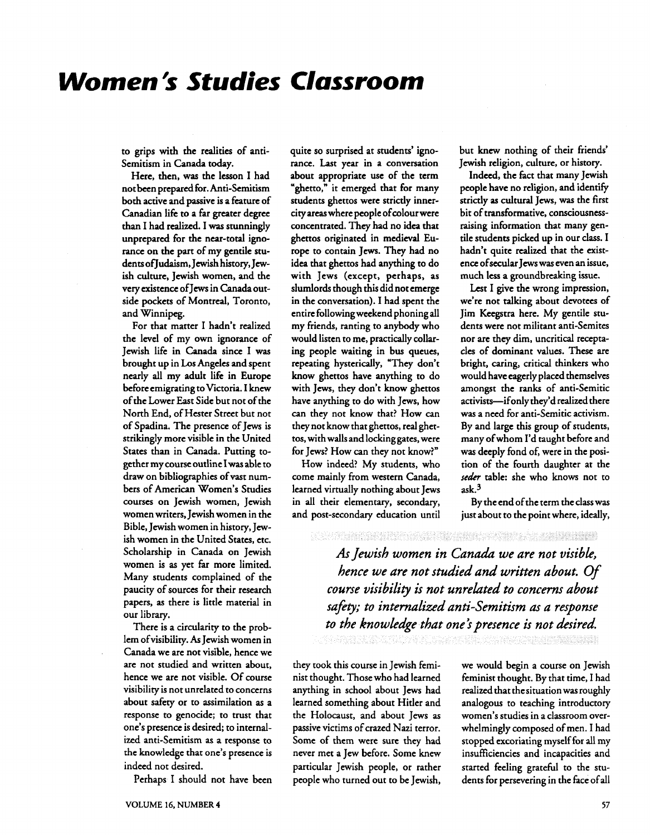# **Women** 's **Studies Classroom**

to grips with the realities of anti-Semitism in Canada today.

Here, then, was the lesson I had not been prepared for. Anti-Semitism both active and passive is a feature of Canadian life to a far greater degree than I had realized. I was stunningly unprepared for the near-total ignorance on the part of my gentile students ofJudaism, Jewish history, Jewish culture, Jewish women, and the very existence of Jews in Canada outside pockets of Montreal, Toronto, and Winnipeg.

For that matter I hadn't realized the level of my own ignorance of Jewish life in Canada since I was brought up in Los Angeles and spent nearly all my adult life in Europe before emigrating to Victoria. I knew of the Lower East Side but not of the North End, of Hester Street but not of Spadina. The presence of Jews is strikingly more visible in the United States than in Canada. Putting together my course outline I was able to draw on bibliographies of vast numbers of American Women's Studies courses on Jewish women, Jewish women writers, Jewish women in the Bible, Jewish women in history, Jewish women in the United States, etc. Scholarship in Canada on Jewish women is as yet far more limited. Many students complained of the paucity of sources for their research papers, as there is little material in our library.

There is a circularity to the problem ofvisibility. **As** Jewish women in Canada we are not visible, hence we are not studied and written about, hence we are not visible. Of course visibility is not unrelated to concerns about safety or to assimilation as a response to genocide; to trust that one's presence is desired; to internalized anti-Semitism as a response to the knowledge that one's presence is indeed not desired.

Perhaps I should not have been

quite so surprised at students' ignorance. Last year in a conversation about appropriate use of the term "ghetto," it emerged that for many students ghettos were strictly innercity areas where people of colour were concentrated. They had no idea that ghettos originated in medieval Europe to contain Jews. They had no idea that ghettos had anything to do with Jews (except, perhaps, as slumlords though this did not emerge in the conversation). I had spent the entire following weekend phoning all my friends, ranting to anybody who would listen to me, practically collaring people waiting in bus queues, repeating hysterically, "They don't know ghettos have anything to do with Jews, they don't know ghettos have anything to do with Jews, how can they not know that? How can they not know that ghettos, real ghettos, with walls and locking gates, were for Jews? How can they not know?"

How indeed? My students, who come mainly from western Canada, learned virtually nothing about Jews in all their elementary, secondary, and post-secondary education until but knew nothing of their friends' Jewish religion, culture, or history.

Indeed, the fact that many Jewish people have no religion, and identify strictly as cultural Jews, was the first bit of transformative, consciousnessraising information that many gentile students picked up in our class. I hadn't quite realized that the existence ofsecular Jews was even an issue, much less a groundbreaking issue.

Lest I give the wrong impression, we're not talking about devotees of Jim Keegstra here. My gentile students were not militant anti-Semites nor are they dim, uncritical receptacles of dominant values. These are bright, caring, critical thinkers who would have eagerly placed themselves amongst the ranks of anti-Semitic activists-if only they'd realized there was a need for anti-Semitic activism. By and large this group of students, many ofwhom I'd taught before and was deeply fond of, were in the position of the fourth daughter at the seder table: she who knows not to ask.3

By the end of the term the class was just about to the point where, ideally,

#### 

*As Jewish women in Canadd we are not visible, hence we are not studied and written about.* **Of**  *course visibility is not unrelated to concerns about sah; to internalized anti-Semitism as a response*  to the knowledge that one's presence is not desired.

they took this course in Jewish feminist thought. Those who had learned anything in school about Jews had learned something about Hitler and the Holocaust, and about Jews as passive victims of crazed Nazi terror. Some of them were sure they had never met a Jew before. Some knew particular Jewish people, or rather started feeling grateful to the stu-

we would begin a course on Jewish feminist thought. By that time, I had realized that the situation was roughly analogous to teaching introductory women's studies in a classroom overwhelmingly composed of men. I had stopped excoriating myself for all my insufficiencies and incapacities and people who turned out to be Jewish, dents for persevering in the fice of all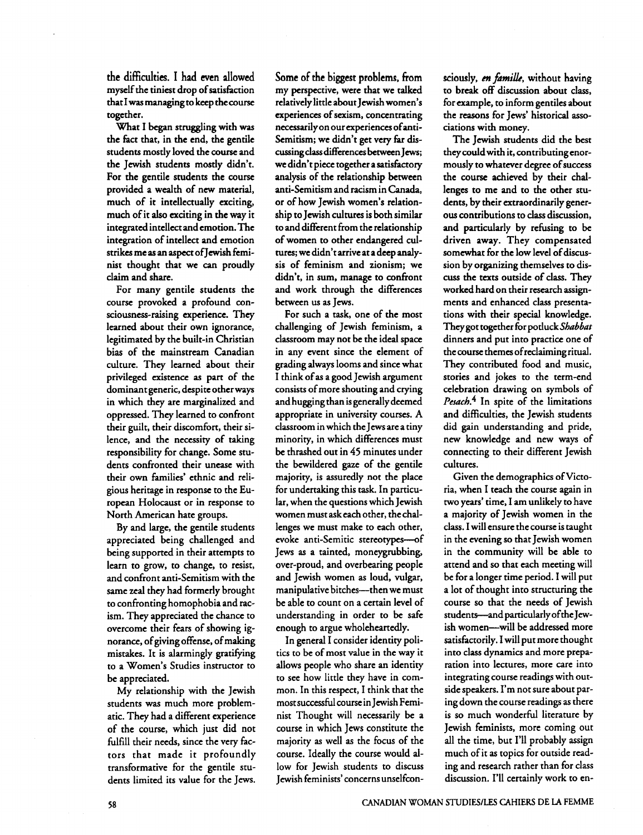the difficulties. I had even allowed myself the tiniest drop of satisfiction that I was managing to keep the course together.

What I began struggling with **was**  the fict that, in the end, the gentile students mostly loved the course and the Jewish students mostly didn't. For the gentile students the course provided a wealth of new material, much of it intellectually exciting, much of it also exciting in the way it integrated intellect and emotion. The integration of intellect and emotion strikes me as an aspect ofJewish feminist thought that we **cm** proudly claim and share.

For many gentile students the course provoked a profound consciousness-raising experience. They learned about their own ignorance, legitimated by the built-in Christian bias of the mainstream Canadian culture. They learned about their privileged existence as part of the dominant generic, despite other ways in which they are marginalized and oppressed. They learned to confront their guilt, their discomfort, their silence, and the necessity of taking responsibility for change. Some students confronted their unease with their own families' ethnic and religious heritage in response to the European Holocaust or in response to North American hate groups.

By and large, the gentile students appreciated being challenged and being supported in their attempts to learn to grow, to change, to resist, and confront anti-Semitism with the same zeal they had formerly brought to confronting homophobia and racism. They appreciated the chance to overcome their fears of showing ignorance, of giving offense, of making mistakes. It is alarmingly gratifying to a Women's Studies instructor to be appreciated.

My relationship with the Jewish students was much more problematic. They had a different experience of the course, which just did not fulfill their needs, since the very factors that made it profoundly transformative for the gentile students limited its value for the Jews.

Some of the biggest problems, from my perspective, were that we talked relatively little about Jewish women's experiences of sexism, concentrating necessarily on our experiences ofanti-Semitism; we didn't get very **far** discussing class differences between Jews; we didn't piece together a satisfictory analysis of the relationship between anti-Semitism and racism in **Canada,**  or of how Jewish women's relationship to Jewish cultures is both similar to and different from the relationship of women to other endangered cultures; we didn't arrive at a deep analysis of feminism and zionism; we didn't, in sum, manage to confront and work through the differences between us as Jews.

For such a task, one of the most challenging of Jewish feminism, a classroom may not be the ideal space in any event since the element of grading always looms and since what I think of as a good Jewish argument consists of more shouting and crying and hugging than is generally deemed appropriate in university courses. A classroom in which the Jews are a tiny minority, in which differences must be thrashed out in 45 minutes under the bewildered **gaze** of the gentile majority, is assuredly not the place for undertaking this task. In particular, when the questions which Jewish women must ask each other, the challenges we must make to each other, evoke anti-Semitic stereotypes-of Jews as a tainted, moneygrubbing, over-proud, and overbearing people and Jewish women as loud, vulgar, manipulative bitches---then we must be able to count on a certain level of understanding in order to be safe enough to argue wholeheartedly.

In general I consider identity politics to be of most value in the way it allows people who share an identity to see how little they have in common. In this respect, I think that the most successful course in Jewish Feminist Thought will necessarily be a course in which Jews constitute the majority as well as the focus of the course. Ideally the course would allow for Jewish students to discuss Jewish feminists' concerns unselfcon**sciously, m** *fdmilk,* without having to break off discussion about class, for example, to inform gentiles about the reasons for Jews' historical associations with money.

The Jewish students did the best they couldwith it, contributingenormously to whatever degree of success the course achieved by their challenges to me and to the other students, by their extraordinarily generous contributions to class discussion, and particularly by refusing to be driven away. They compensated somewhat for the low level of discussion by organizing themselves to discuss the texts outside of class. They worked hard on their research assignments and enhanced class presentations with their special knowledge. They got together for potluck Shabbat dinners and put into practice one of the course themes of reclaiming ritual. They contributed food and music, stories and jokes to the term-end celebration drawing on symbols of Pesach.<sup>4</sup> In spite of the limitations and difficulties, the Jewish students did gain understanding and pride, new knowledge and new ways of connecting to their different Jewish cultures.

Given the demographics of Victoria, when I teach the course again in two years' time, I am unlikely to have a majority of Jewish women in the class. I will ensure the course is taught in the evening so that Jewish women in the community will be able to attend and so that each meeting will be for a longer time period. I will put a lot of thought into structuring the course so that the needs of Jewish students--and particularly ofthe Jewish women-will be addressed more satisfactorily. I will put more thought into class dynamics and more preparation into lectures, more care into integrating course readings with outside speakers. I'm not sure about paring down the course readings as there is so much wonderful literature by Jewish feminists, more coming out all the time, but I'll probably assign much of it as topics for outside reading and research rather than for class discussion. I'll certainly work to en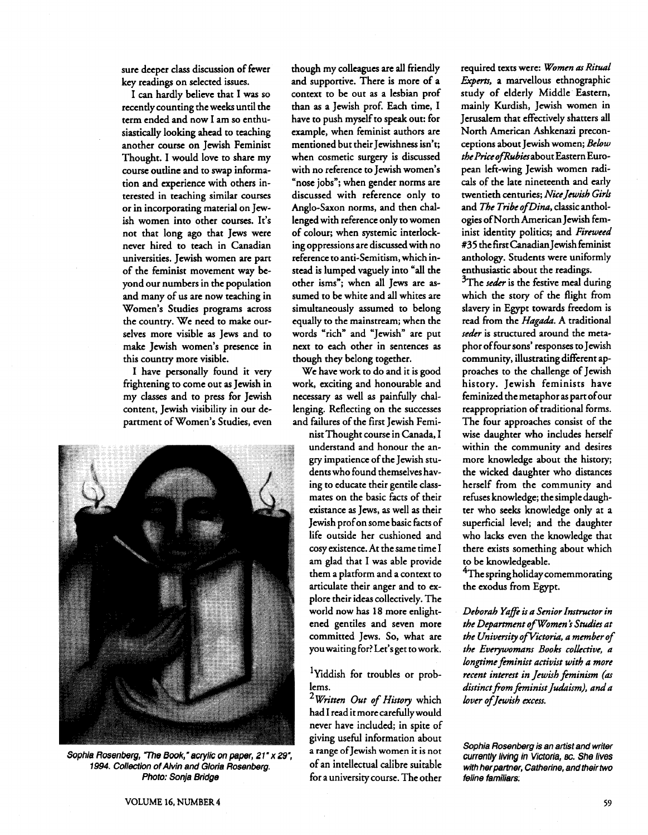sure deeper class discussion of fewer key readings on selected issues.

I can hardly believe that I **was** so recently counting the weeks until the term ended and now I am so enthusiastically looking ahead to teaching another course on Jewish Feminist Thought. I would love to share my course outline and to swap information and experience with others interested in teaching similar courses or in incorporating material on Jewish women into other courses. It's not that long ago that Jews were never hired to teach in Canadian universities. Jewish women are part of the feminist movement way beyond our numbers in the population and many of us are now teaching in Women's Studies programs across the country. We need to make ourselves more visible as Jews and to make Jewish women's presence in this country more visible.

I have personally found it very frightening to come out as Jewish in my classes and to press for Jewish content, Jewish visibility in our department of Women's Studies, even



Sophia Rosenberg, "The Book," acrylic on paper, 21" x 29", a range of Jewish women it is not<br>1994. Collection of Alvin and Gloria Rosenberg of an intellectual calibre suitable 1994. Collection of Alvin and Gloria Rosenberg. **Photo: Sonja Bridge** *for a university course. The other* 

though my colleagues are **all** friendly and supportive. There is more of a context to be out as a lesbian prof than as a Jewish prof. Each time, I have to push myself to speak out: for example, when feminist authors are mentioned but their Jewishness isn't; when cosmetic surgery is discussed with no reference to Jewish women's "nose jobs"; when gender norms are discussed with reference only to Anglo-Saxon norms, and then chdlenged with reference only to women of colour; when systemic interlocking oppressions are discussed with no reference to anti-Semitism, which instead is lumped vaguely into "all the other isms"; when all Jews are assumed to be white and all whites are simultaneously assumed to belong equally to the mainstream; when the words "rich" and "Jewish" are put next to each other in sentences as though they belong together.

We have work to do and it is good work, exciting and honourable and necessary as well as painfully challenging. Reflecting on the successes and failures of the first Jewish Femi-

> nist Thought course in Canada, I understand and honour the angry impatience of the Jewish students who found themselves having to educate their gentile classmates on the basic facts of their existance as Jews, as well as their Jewish prof on some basic facts of life outside her cushioned and cosy existence. At the same time I am glad that I was able provide them a platform and a context to articulate their anger and to explore their ideas collectively. The world now has 18 more enlightened gentiles and seven more committed Jews. So, what are you waiting for? Let's get to work.

> 'Yiddish for troubles or problems.

<sup>2</sup> Written Out of History which had I read it more carefully would never have included; in spite of giving useful information about

required texts were: *Women* **as** *Ritual Experts,* a marvellous ethnographic study of elderly Middle Eastern, mainly Kurdish, Jewish women in Jerusalem that effectively shatters all North American Ashkenazi preconceptions about Jewish women; *Below the* PriceofRubiesabout Eastern European left-wing Jewish women radicals of the late nineteenth and early twentieth centuries; *Nice Jewish Girls* and *The Tribe of Dina*, classic anthologies ofNorth American Jewish feminist identity politics; and *Fireweed*  #35 the first Canadian Jewish feminist anthology. Students were uniformly enthusiastic about the readings.

<sup>3</sup>The *seder* is the festive meal during which the story of the flight from slavery in Egypt towards freedom is read from the *Hagada. A* traditional seder is structured around the metaphor of four sons' responses to Jewish community, illustrating different approaches to the challenge of Jewish history. Jewish feminists have feminized the metaphor as part ofour reappropriation of traditional forms. The four approaches consist of the wise daughter who includes herself within the community and desires more knowledge about the history; the wicked daughter who distances herself from the community and refixes knowledge; the simple daughter who seeks knowledge only at a superficial level; and the daughter who lacks even the knowledge that there exists something about which to be knowledgeable.

<sup>4</sup>The spring holiday comemmorating the exodus from Egypt.

*Deborah Yaffe is a Senior Instructor in the Department of Women* **i** *Studies at*   $the$  University of Victoria, a member of the Everywomans Books collective, a *longtime feminist activist with a more recent interest in Jewish fminh (as*  distinct from feminist Judaism), and a *lover of Jewish excess.* 

**Sophia Rosenberg is an artist and writer**  currently living in Victoria, **BC.** She lives **with her partner, Catherine, and their two feline femiliars;**